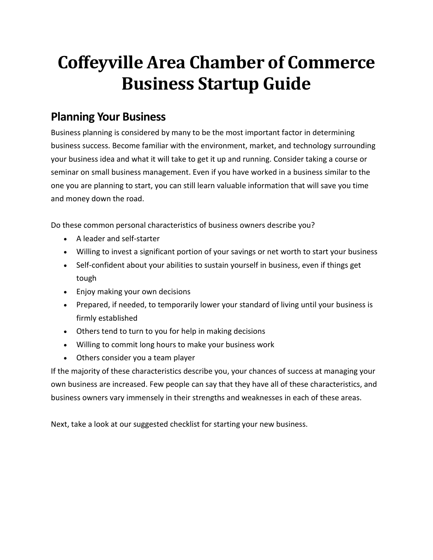# **Coffeyville Area Chamber of Commerce Business Startup Guide**

# **Planning Your Business**

Business planning is considered by many to be the most important factor in determining business success. Become familiar with the environment, market, and technology surrounding your business idea and what it will take to get it up and running. Consider taking a course or seminar on small business management. Even if you have worked in a business similar to the one you are planning to start, you can still learn valuable information that will save you time and money down the road.

Do these common personal characteristics of business owners describe you?

- A leader and self-starter
- Willing to invest a significant portion of your savings or net worth to start your business
- Self-confident about your abilities to sustain yourself in business, even if things get tough
- Enjoy making your own decisions
- Prepared, if needed, to temporarily lower your standard of living until your business is firmly established
- Others tend to turn to you for help in making decisions
- Willing to commit long hours to make your business work
- Others consider you a team player

If the majority of these characteristics describe you, your chances of success at managing your own business are increased. Few people can say that they have all of these characteristics, and business owners vary immensely in their strengths and weaknesses in each of these areas.

Next, take a look at our suggested checklist for starting your new business.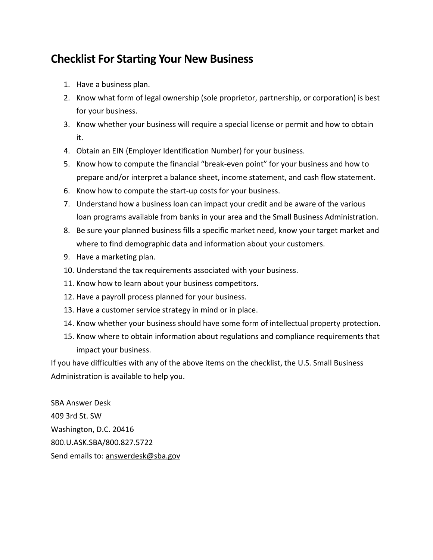# **Checklist For Starting Your New Business**

- 1. Have a business plan.
- 2. Know what form of legal ownership (sole proprietor, partnership, or corporation) is best for your business.
- 3. Know whether your business will require a special license or permit and how to obtain it.
- 4. Obtain an EIN (Employer Identification Number) for your business.
- 5. Know how to compute the financial "break-even point" for your business and how to prepare and/or interpret a balance sheet, income statement, and cash flow statement.
- 6. Know how to compute the start-up costs for your business.
- 7. Understand how a business loan can impact your credit and be aware of the various loan programs available from banks in your area and the Small Business Administration.
- 8. Be sure your planned business fills a specific market need, know your target market and where to find demographic data and information about your customers.
- 9. Have a marketing plan.
- 10. Understand the tax requirements associated with your business.
- 11. Know how to learn about your business competitors.
- 12. Have a payroll process planned for your business.
- 13. Have a customer service strategy in mind or in place.
- 14. Know whether your business should have some form of intellectual property protection.
- 15. Know where to obtain information about regulations and compliance requirements that impact your business.

If you have difficulties with any of the above items on the checklist, the U.S. Small Business Administration is available to help you.

SBA Answer Desk 409 3rd St. SW Washington, D.C. 20416 800.U.ASK.SBA/800.827.5722 Send emails to: [answerdesk@sba.gov](mailto:answerdesk@sba.gov)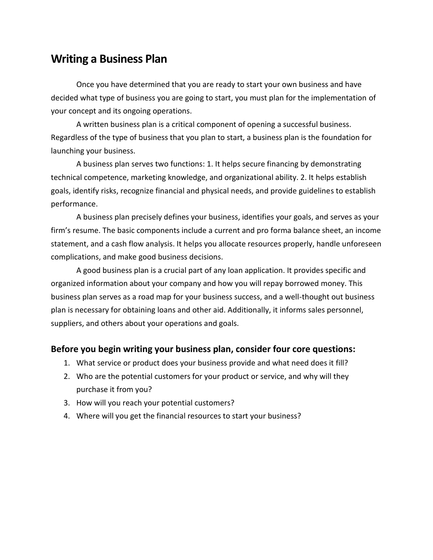# **Writing a Business Plan**

Once you have determined that you are ready to start your own business and have decided what type of business you are going to start, you must plan for the implementation of your concept and its ongoing operations.

A written business plan is a critical component of opening a successful business. Regardless of the type of business that you plan to start, a business plan is the foundation for launching your business.

A business plan serves two functions: 1. It helps secure financing by demonstrating technical competence, marketing knowledge, and organizational ability. 2. It helps establish goals, identify risks, recognize financial and physical needs, and provide guidelines to establish performance.

A business plan precisely defines your business, identifies your goals, and serves as your firm's resume. The basic components include a current and pro forma balance sheet, an income statement, and a cash flow analysis. It helps you allocate resources properly, handle unforeseen complications, and make good business decisions.

A good business plan is a crucial part of any loan application. It provides specific and organized information about your company and how you will repay borrowed money. This business plan serves as a road map for your business success, and a well-thought out business plan is necessary for obtaining loans and other aid. Additionally, it informs sales personnel, suppliers, and others about your operations and goals.

### **Before you begin writing your business plan, consider four core questions:**

- 1. What service or product does your business provide and what need does it fill?
- 2. Who are the potential customers for your product or service, and why will they purchase it from you?
- 3. How will you reach your potential customers?
- 4. Where will you get the financial resources to start your business?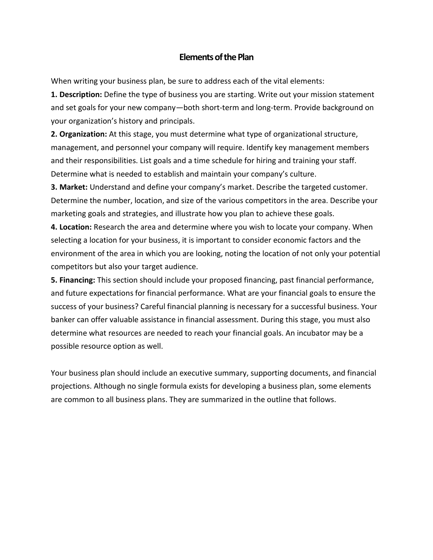### **Elements of the Plan**

When writing your business plan, be sure to address each of the vital elements:

**1. Description:** Define the type of business you are starting. Write out your mission statement and set goals for your new company—both short-term and long-term. Provide background on your organization's history and principals.

**2. Organization:** At this stage, you must determine what type of organizational structure, management, and personnel your company will require. Identify key management members and their responsibilities. List goals and a time schedule for hiring and training your staff. Determine what is needed to establish and maintain your company's culture.

**3. Market:** Understand and define your company's market. Describe the targeted customer. Determine the number, location, and size of the various competitors in the area. Describe your marketing goals and strategies, and illustrate how you plan to achieve these goals.

**4. Location:** Research the area and determine where you wish to locate your company. When selecting a location for your business, it is important to consider economic factors and the environment of the area in which you are looking, noting the location of not only your potential competitors but also your target audience.

**5. Financing:** This section should include your proposed financing, past financial performance, and future expectations for financial performance. What are your financial goals to ensure the success of your business? Careful financial planning is necessary for a successful business. Your banker can offer valuable assistance in financial assessment. During this stage, you must also determine what resources are needed to reach your financial goals. An incubator may be a possible resource option as well.

Your business plan should include an executive summary, supporting documents, and financial projections. Although no single formula exists for developing a business plan, some elements are common to all business plans. They are summarized in the outline that follows.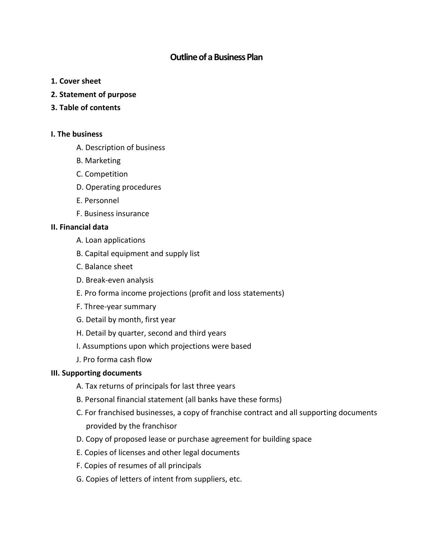# **Outline of a Business Plan**

- **1. Cover sheet**
- **2. Statement of purpose**
- **3. Table of contents**

### **I. The business**

- A. Description of business
- B. Marketing
- C. Competition
- D. Operating procedures
- E. Personnel
- F. Business insurance

### **II. Financial data**

- A. Loan applications
- B. Capital equipment and supply list
- C. Balance sheet
- D. Break-even analysis
- E. Pro forma income projections (profit and loss statements)
- F. Three-year summary
- G. Detail by month, first year
- H. Detail by quarter, second and third years
- I. Assumptions upon which projections were based
- J. Pro forma cash flow

### **III. Supporting documents**

- A. Tax returns of principals for last three years
- B. Personal financial statement (all banks have these forms)
- C. For franchised businesses, a copy of franchise contract and all supporting documents provided by the franchisor
- D. Copy of proposed lease or purchase agreement for building space
- E. Copies of licenses and other legal documents
- F. Copies of resumes of all principals
- G. Copies of letters of intent from suppliers, etc.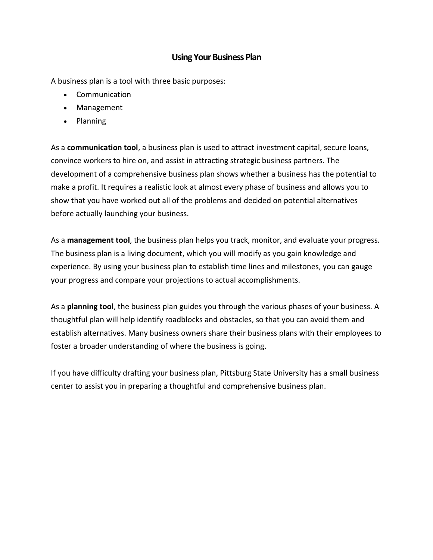### **Using Your Business Plan**

A business plan is a tool with three basic purposes:

- Communication
- Management
- Planning

As a **communication tool**, a business plan is used to attract investment capital, secure loans, convince workers to hire on, and assist in attracting strategic business partners. The development of a comprehensive business plan shows whether a business has the potential to make a profit. It requires a realistic look at almost every phase of business and allows you to show that you have worked out all of the problems and decided on potential alternatives before actually launching your business.

As a **management tool**, the business plan helps you track, monitor, and evaluate your progress. The business plan is a living document, which you will modify as you gain knowledge and experience. By using your business plan to establish time lines and milestones, you can gauge your progress and compare your projections to actual accomplishments.

As a **planning tool**, the business plan guides you through the various phases of your business. A thoughtful plan will help identify roadblocks and obstacles, so that you can avoid them and establish alternatives. Many business owners share their business plans with their employees to foster a broader understanding of where the business is going.

If you have difficulty drafting your business plan, Pittsburg State University has a small business center to assist you in preparing a thoughtful and comprehensive business plan.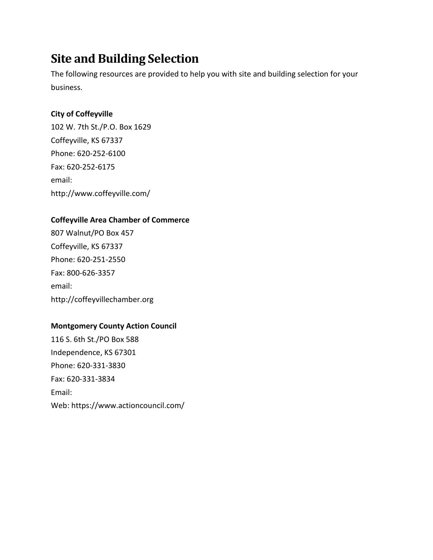# **Site and Building Selection**

The following resources are provided to help you with site and building selection for your business.

# **City of Coffeyville**

102 W. 7th St./P.O. Box 1629 Coffeyville, KS 67337 Phone: 620-252-6100 Fax: 620-252-6175 email: http://www.coffeyville.com/

# **Coffeyville Area Chamber of Commerce**

807 Walnut/PO Box 457 Coffeyville, KS 67337 Phone: 620-251-2550 Fax: 800-626-3357 email: http://coffeyvillechamber.org

# **Montgomery County Action Council**

116 S. 6th St./PO Box 588 Independence, KS 67301 Phone: 620-331-3830 Fax: 620-331-3834 Email: Web: https://www.actioncouncil.com/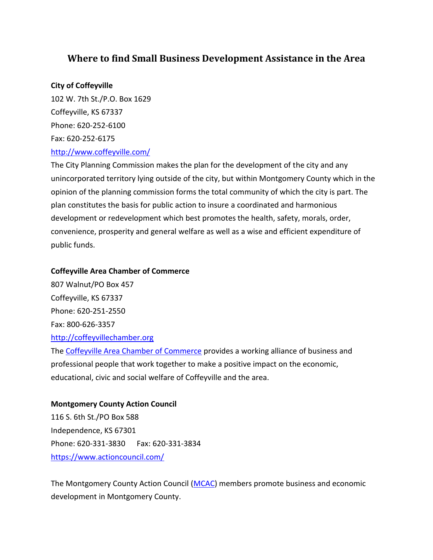# **Where to find Small Business Development Assistance in the Area**

### **City of Coffeyville**

102 W. 7th St./P.O. Box 1629 Coffeyville, KS 67337 Phone: 620-252-6100 Fax: 620-252-6175 <http://www.coffeyville.com/>

The City Planning Commission makes the plan for the development of the city and any unincorporated territory lying outside of the city, but within Montgomery County which in the opinion of the planning commission forms the total community of which the city is part. The plan constitutes the basis for public action to insure a coordinated and harmonious development or redevelopment which best promotes the health, safety, morals, order, convenience, prosperity and general welfare as well as a wise and efficient expenditure of public funds.

### **Coffeyville Area Chamber of Commerce**

807 Walnut/PO Box 457 Coffeyville, KS 67337 Phone: 620-251-2550 Fax: 800-626-3357 [http://coffeyvillechamber.org](http://coffeyvillechamber.org/) The [Coffeyville Area Chamber of Commerce](http://coffeyvillechamber.org/) provides a working alliance of business and professional people that work together to make a positive impact on the economic,

#### **Montgomery County Action Council**

116 S. 6th St./PO Box 588 Independence, KS 67301 Phone: 620-331-3830 Fax: 620-331-3834 <https://www.actioncouncil.com/>

educational, civic and social welfare of Coffeyville and the area.

The Montgomery County Action Council [\(MCAC\)](https://www.actioncouncil.com/) members promote business and economic development in Montgomery County.